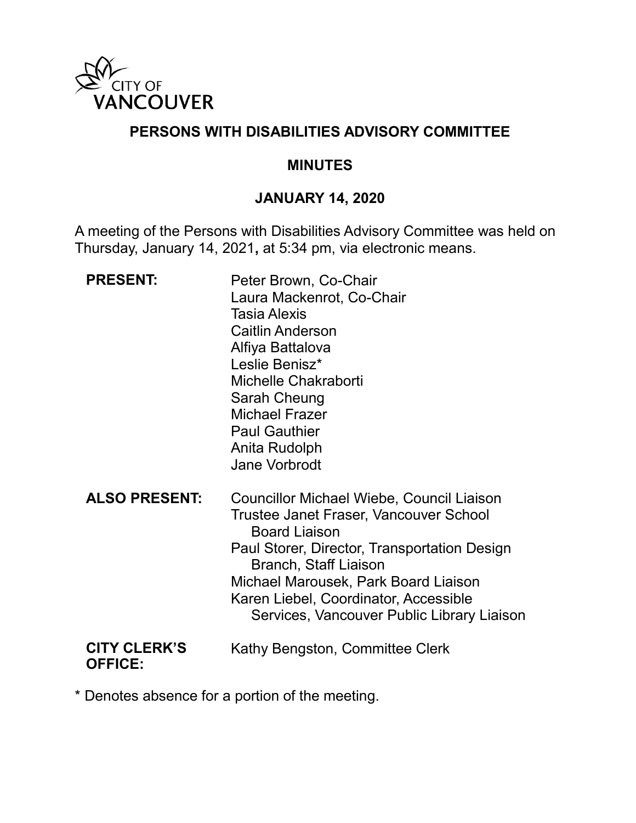

### **PERSONS WITH DISABILITIES ADVISORY COMMITTEE**

#### **MINUTES**

### **JANUARY 14, 2020**

A meeting of the Persons with Disabilities Advisory Committee was held on Thursday, January 14, 2021**,** at 5:34 pm, via electronic means.

| <b>PRESENT:</b>                       | Peter Brown, Co-Chair<br>Laura Mackenrot, Co-Chair<br><b>Tasia Alexis</b><br><b>Caitlin Anderson</b><br>Alfiya Battalova<br>Leslie Benisz*<br>Michelle Chakraborti<br>Sarah Cheung<br><b>Michael Frazer</b><br><b>Paul Gauthier</b><br>Anita Rudolph<br><b>Jane Vorbrodt</b>                                                      |
|---------------------------------------|-----------------------------------------------------------------------------------------------------------------------------------------------------------------------------------------------------------------------------------------------------------------------------------------------------------------------------------|
| <b>ALSO PRESENT:</b>                  | Councillor Michael Wiebe, Council Liaison<br><b>Trustee Janet Fraser, Vancouver School</b><br><b>Board Liaison</b><br>Paul Storer, Director, Transportation Design<br><b>Branch, Staff Liaison</b><br>Michael Marousek, Park Board Liaison<br>Karen Liebel, Coordinator, Accessible<br>Services, Vancouver Public Library Liaison |
| <b>CITY CLERK'S</b><br><b>OFFICE:</b> | Kathy Bengston, Committee Clerk                                                                                                                                                                                                                                                                                                   |

\* Denotes absence for a portion of the meeting.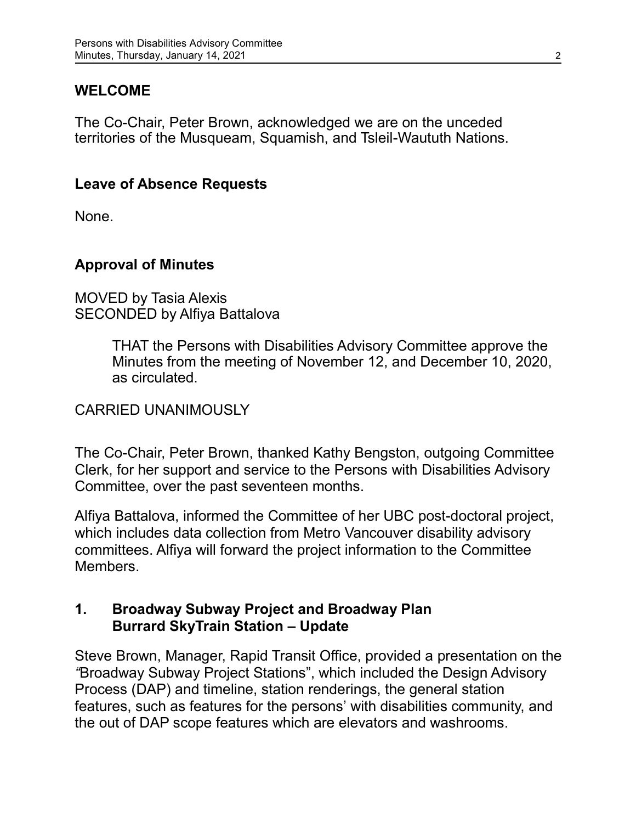### **WELCOME**

The Co-Chair, Peter Brown, acknowledged we are on the unceded territories of the Musqueam, Squamish, and Tsleil-Waututh Nations.

#### **Leave of Absence Requests**

None.

### **Approval of Minutes**

#### MOVED by Tasia Alexis SECONDED by Alfiya Battalova

THAT the Persons with Disabilities Advisory Committee approve the Minutes from the meeting of November 12, and December 10, 2020, as circulated.

### CARRIED UNANIMOUSLY

The Co-Chair, Peter Brown, thanked Kathy Bengston, outgoing Committee Clerk, for her support and service to the Persons with Disabilities Advisory Committee, over the past seventeen months.

Alfiya Battalova, informed the Committee of her UBC post-doctoral project, which includes data collection from Metro Vancouver disability advisory committees. Alfiya will forward the project information to the Committee **Members** 

#### **1. Broadway Subway Project and Broadway Plan Burrard SkyTrain Station – Update**

Steve Brown, Manager, Rapid Transit Office, provided a presentation on the *"*Broadway Subway Project Stations", which included the Design Advisory Process (DAP) and timeline, station renderings, the general station features, such as features for the persons' with disabilities community, and the out of DAP scope features which are elevators and washrooms.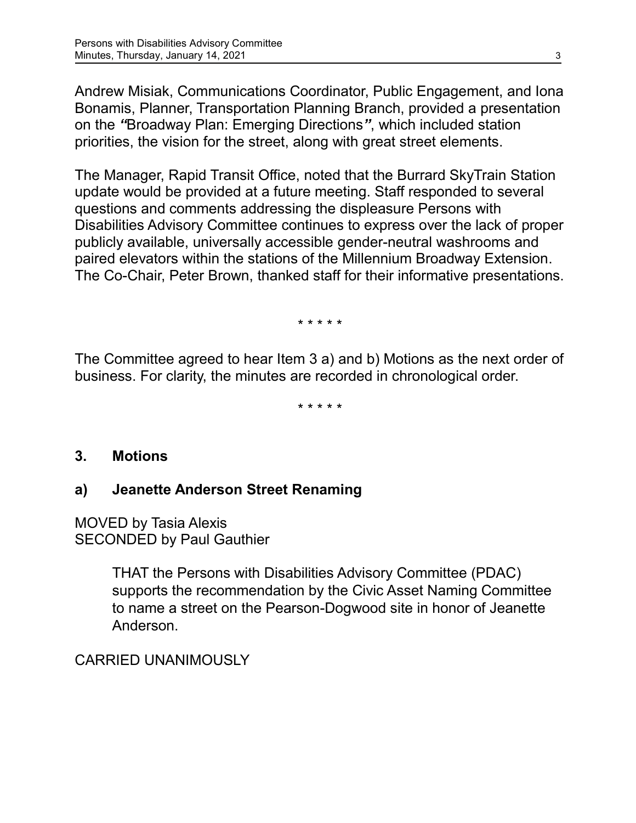Andrew Misiak, Communications Coordinator, Public Engagement, and Iona Bonamis, Planner, Transportation Planning Branch, provided a presentation on the *"*Broadway Plan: Emerging Directions*"*, which included station priorities, the vision for the street, along with great street elements.

The Manager, Rapid Transit Office, noted that the Burrard SkyTrain Station update would be provided at a future meeting. Staff responded to several questions and comments addressing the displeasure Persons with Disabilities Advisory Committee continues to express over the lack of proper publicly available, universally accessible gender-neutral washrooms and paired elevators within the stations of the Millennium Broadway Extension. The Co-Chair, Peter Brown, thanked staff for their informative presentations.

\* \* \* \* \*

The Committee agreed to hear Item 3 a) and b) Motions as the next order of business. For clarity, the minutes are recorded in chronological order.

\* \* \* \* \*

### **3. Motions**

### **a) Jeanette Anderson Street Renaming**

MOVED by Tasia Alexis SECONDED by Paul Gauthier

> THAT the Persons with Disabilities Advisory Committee (PDAC) supports the recommendation by the Civic Asset Naming Committee to name a street on the Pearson-Dogwood site in honor of Jeanette Anderson.

CARRIED UNANIMOUSLY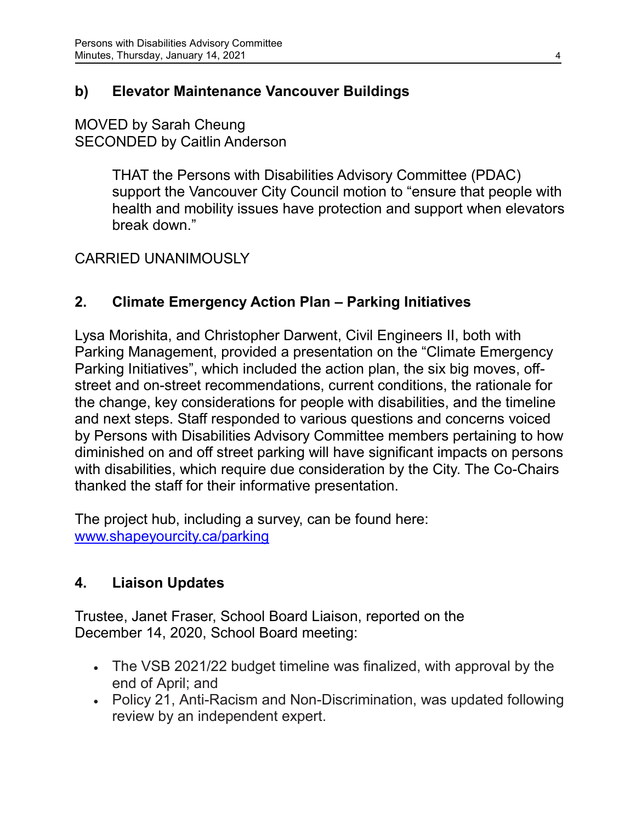## **b) Elevator Maintenance Vancouver Buildings**

### MOVED by Sarah Cheung SECONDED by Caitlin Anderson

THAT the Persons with Disabilities Advisory Committee (PDAC) support the Vancouver City Council motion to "ensure that people with health and mobility issues have protection and support when elevators break down."

## CARRIED UNANIMOUSLY

## **2. Climate Emergency Action Plan – Parking Initiatives**

Lysa Morishita, and Christopher Darwent, Civil Engineers II, both with Parking Management, provided a presentation on the "Climate Emergency Parking Initiatives", which included the action plan, the six big moves, offstreet and on-street recommendations, current conditions, the rationale for the change, key considerations for people with disabilities, and the timeline and next steps. Staff responded to various questions and concerns voiced by Persons with Disabilities Advisory Committee members pertaining to how diminished on and off street parking will have significant impacts on persons with disabilities, which require due consideration by the City. The Co-Chairs thanked the staff for their informative presentation.

The project hub, including a survey, can be found here: [www.shapeyourcity.ca/parking](http://www.shapeyourcity.ca/parking)

## **4. Liaison Updates**

Trustee, Janet Fraser, School Board Liaison, reported on the December 14, 2020, School Board meeting:

- The VSB 2021/22 budget timeline was finalized, with approval by the end of April; and
- Policy 21, Anti-Racism and Non-Discrimination, was updated following review by an independent expert.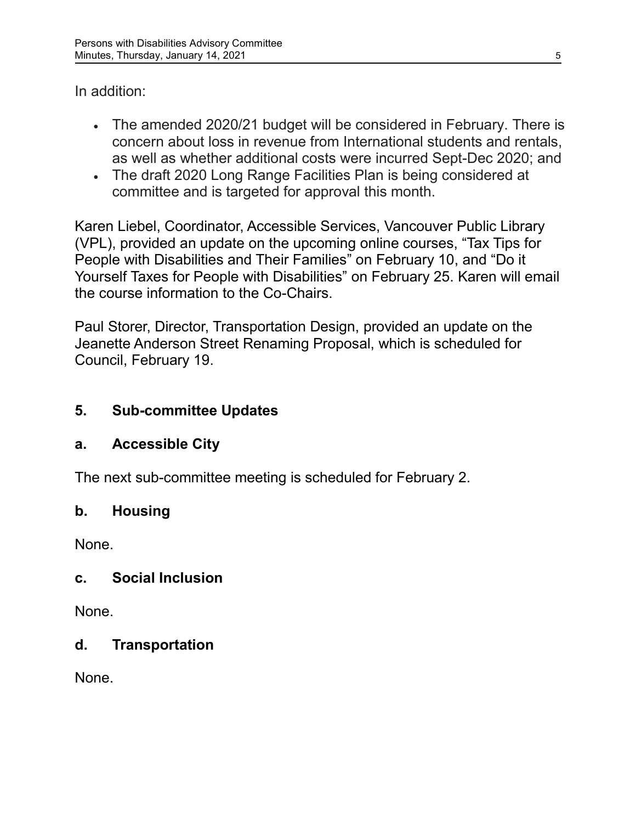In addition:

- The amended 2020/21 budget will be considered in February. There is concern about loss in revenue from International students and rentals, as well as whether additional costs were incurred Sept-Dec 2020; and
- The draft 2020 Long Range Facilities Plan is being considered at committee and is targeted for approval this month.

Karen Liebel, Coordinator, Accessible Services, Vancouver Public Library (VPL), provided an update on the upcoming online courses, "Tax Tips for People with Disabilities and Their Families" on February 10, and "Do it Yourself Taxes for People with Disabilities" on February 25. Karen will email the course information to the Co-Chairs.

Paul Storer, Director, Transportation Design, provided an update on the Jeanette Anderson Street Renaming Proposal, which is scheduled for Council, February 19.

# **5. Sub-committee Updates**

# **a. Accessible City**

The next sub-committee meeting is scheduled for February 2.

# **b. Housing**

None.

# **c. Social Inclusion**

None.

## **d. Transportation**

None.